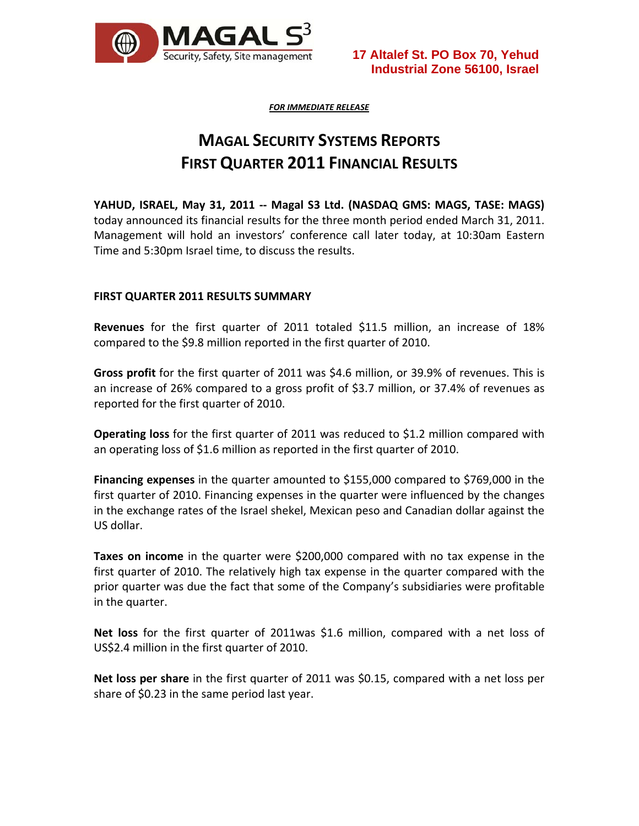

*FOR IMMEDIATE RELEASE*

# **MAGAL SECURITY SYSTEMS REPORTS FIRST QUARTER 2011 FINANCIAL RESULTS**

**YAHUD, ISRAEL, May 31, 2011 ‐‐ Magal S3 Ltd. (NASDAQ GMS: MAGS, TASE: MAGS)** today announced its financial results for the three month period ended March 31, 2011. Management will hold an investors' conference call later today, at 10:30am Eastern Time and 5:30pm Israel time, to discuss the results.

## **FIRST QUARTER 2011 RESULTS SUMMARY**

**Revenues** for the first quarter of 2011 totaled \$11.5 million, an increase of 18% compared to the \$9.8 million reported in the first quarter of 2010.

**Gross profit** for the first quarter of 2011 was \$4.6 million, or 39.9% of revenues. This is an increase of 26% compared to a gross profit of \$3.7 million, or 37.4% of revenues as reported for the first quarter of 2010.

**Operating loss** for the first quarter of 2011 was reduced to \$1.2 million compared with an operating loss of \$1.6 million as reported in the first quarter of 2010.

**Financing expenses** in the quarter amounted to \$155,000 compared to \$769,000 in the first quarter of 2010. Financing expenses in the quarter were influenced by the changes in the exchange rates of the Israel shekel, Mexican peso and Canadian dollar against the US dollar.

**Taxes on income** in the quarter were \$200,000 compared with no tax expense in the first quarter of 2010. The relatively high tax expense in the quarter compared with the prior quarter was due the fact that some of the Company's subsidiaries were profitable in the quarter.

**Net loss** for the first quarter of 2011was \$1.6 million, compared with a net loss of US\$2.4 million in the first quarter of 2010.

**Net loss per share** in the first quarter of 2011 was \$0.15, compared with a net loss per share of \$0.23 in the same period last year.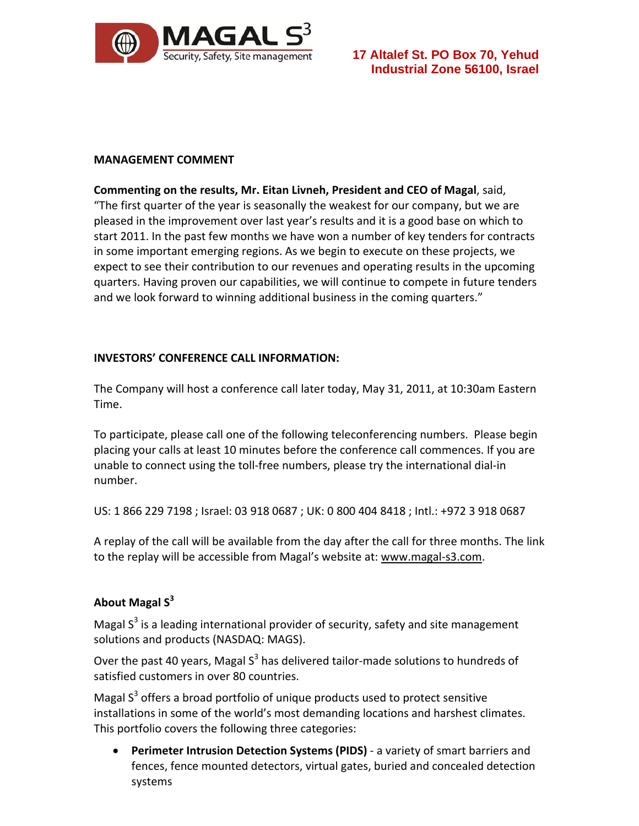

### **MANAGEMENT COMMENT**

**Commenting on the results, Mr. Eitan Livneh, President and CEO of Magal**, said, "The first quarter of the year is seasonally the weakest for our company, but we are pleased in the improvement over last year's results and it is a good base on which to start 2011. In the past few months we have won a number of key tenders for contracts in some important emerging regions. As we begin to execute on these projects, we expect to see their contribution to our revenues and operating results in the upcoming quarters. Having proven our capabilities, we will continue to compete in future tenders and we look forward to winning additional business in the coming quarters."

## **INVESTORS' CONFERENCE CALL INFORMATION:**

The Company will host a conference call later today, May 31, 2011, at 10:30am Eastern Time.

To participate, please call one of the following teleconferencing numbers. Please begin placing your calls at least 10 minutes before the conference call commences. If you are unable to connect using the toll‐free numbers, please try the international dial‐in number.

US: 1 866 229 7198 ; Israel: 03 918 0687 ; UK: 0 800 404 8418 ; Intl.: +972 3 918 0687

A replay of the call will be available from the day after the call for three months. The link to the replay will be accessible from Magal's website at: www.magal‐s3.com.

# **About Magal S<sup>3</sup>**

Magal  $S<sup>3</sup>$  is a leading international provider of security, safety and site management solutions and products (NASDAQ: MAGS).

Over the past 40 years, Magal  $S^3$  has delivered tailor-made solutions to hundreds of satisfied customers in over 80 countries.

Magal  $S<sup>3</sup>$  offers a broad portfolio of unique products used to protect sensitive installations in some of the world's most demanding locations and harshest climates. This portfolio covers the following three categories:

 **Perimeter Intrusion Detection Systems (PIDS)** ‐ a variety of smart barriers and fences, fence mounted detectors, virtual gates, buried and concealed detection systems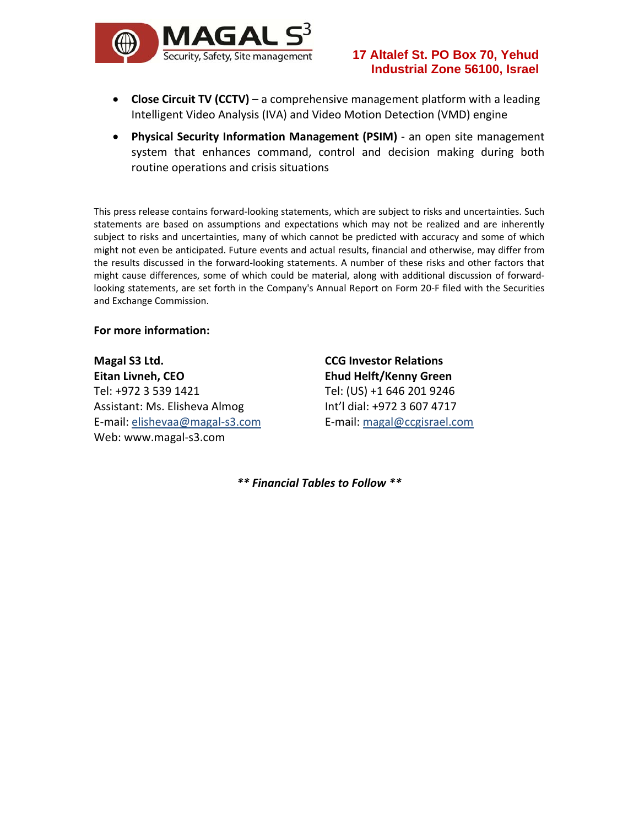

- **Close Circuit TV (CCTV)** a comprehensive management platform with a leading Intelligent Video Analysis (IVA) and Video Motion Detection (VMD) engine
- **Physical Security Information Management (PSIM)** ‐ an open site management system that enhances command, control and decision making during both routine operations and crisis situations

This press release contains forward‐looking statements, which are subject to risks and uncertainties. Such statements are based on assumptions and expectations which may not be realized and are inherently subject to risks and uncertainties, many of which cannot be predicted with accuracy and some of which might not even be anticipated. Future events and actual results, financial and otherwise, may differ from the results discussed in the forward‐looking statements. A number of these risks and other factors that might cause differences, some of which could be material, along with additional discussion of forward‐ looking statements, are set forth in the Company's Annual Report on Form 20‐F filed with the Securities and Exchange Commission.

#### **For more information:**

**Magal S3 Ltd. Eitan Livneh, CEO** Tel: +972 3 539 1421 Assistant: Ms. Elisheva Almog E‐mail: elishevaa@magal‐s3.com Web: www.magal‐s3.com

**CCG Investor Relations Ehud Helft/Kenny Green** Tel: (US) +1 646 201 9246 Int'l dial: +972 3 607 4717 E‐mail: magal@ccgisrael.com

*\*\* Financial Tables to Follow \*\**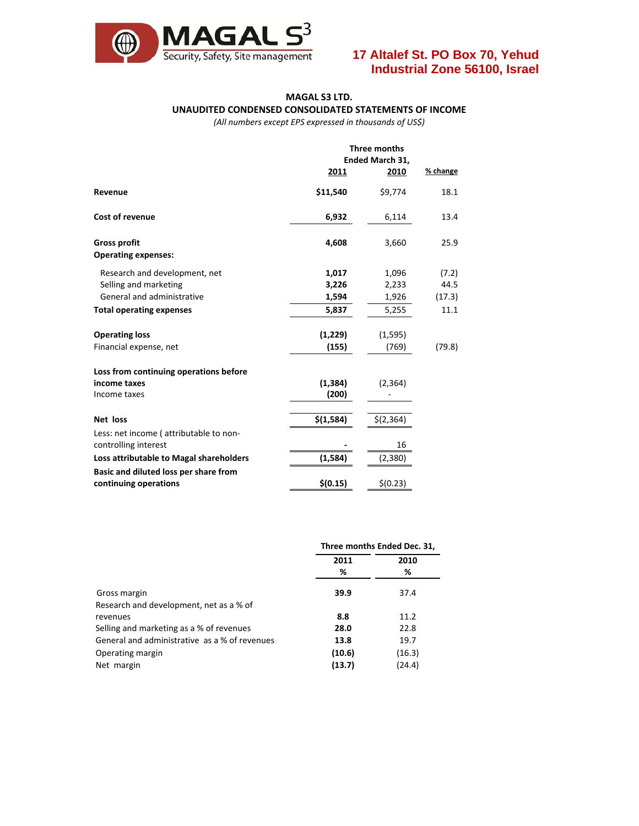

#### **MAGAL S3 LTD. UNAUDITED CONDENSED CONSOLIDATED STATEMENTS OF INCOME**

*(All numbers except EPS expressed in thousands of US\$)*

|                                                                                      | Three months<br>Ended March 31,<br>2010 | % change                |                         |
|--------------------------------------------------------------------------------------|-----------------------------------------|-------------------------|-------------------------|
| Revenue                                                                              | 2011<br>\$11,540                        | \$9,774                 | 18.1                    |
| <b>Cost of revenue</b>                                                               | 6,932                                   | 6,114                   | 13.4                    |
| <b>Gross profit</b><br><b>Operating expenses:</b>                                    | 4,608                                   | 3,660                   | 25.9                    |
| Research and development, net<br>Selling and marketing<br>General and administrative | 1,017<br>3,226<br>1,594                 | 1,096<br>2,233<br>1,926 | (7.2)<br>44.5<br>(17.3) |
| <b>Total operating expenses</b>                                                      | 5,837                                   | 5,255                   | 11.1                    |
| <b>Operating loss</b><br>Financial expense, net                                      | (1,229)<br>(155)                        | (1, 595)<br>(769)       | (79.8)                  |
| Loss from continuing operations before<br>income taxes<br>Income taxes               | (1, 384)<br>(200)                       | (2, 364)                |                         |
| Net loss<br>Less: net income (attributable to non-                                   | \$(1,584)                               | \$(2,364)               |                         |
| controlling interest<br>Loss attributable to Magal shareholders                      | (1, 584)                                | 16<br>(2,380)           |                         |
| Basic and diluted loss per share from<br>continuing operations                       | \$(0.15)                                | \$(0.23)                |                         |

|                                               | Three months Ended Dec. 31, |        |  |
|-----------------------------------------------|-----------------------------|--------|--|
|                                               | 2011                        | 2010   |  |
|                                               | %                           | %      |  |
| Gross margin                                  | 39.9                        | 37.4   |  |
| Research and development, net as a % of       |                             |        |  |
| revenues                                      | 8.8                         | 11.2   |  |
| Selling and marketing as a % of revenues      | 28.0                        | 22.8   |  |
| General and administrative as a % of revenues | 13.8                        | 19.7   |  |
| Operating margin                              | (10.6)                      | (16.3) |  |
| Net margin                                    | (13.7)                      | (24.4) |  |